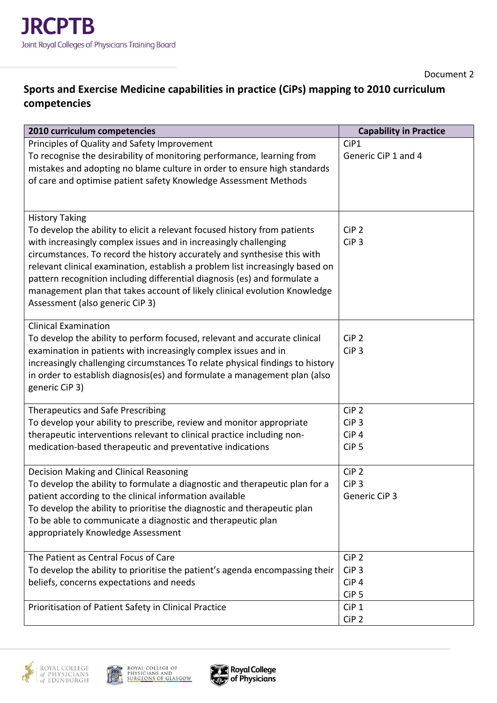## **Sports and Exercise Medicine capabilities in practice (CiPs) mapping to 2010 curriculum competencies**

| 2010 curriculum competencies                                                                                                                                                                                                                                                                                                                                                                                                                                                                                                     | <b>Capability in Practice</b>                                                |
|----------------------------------------------------------------------------------------------------------------------------------------------------------------------------------------------------------------------------------------------------------------------------------------------------------------------------------------------------------------------------------------------------------------------------------------------------------------------------------------------------------------------------------|------------------------------------------------------------------------------|
| Principles of Quality and Safety Improvement<br>To recognise the desirability of monitoring performance, learning from<br>mistakes and adopting no blame culture in order to ensure high standards<br>of care and optimise patient safety Knowledge Assessment Methods                                                                                                                                                                                                                                                           | CiP1<br>Generic CiP 1 and 4                                                  |
| <b>History Taking</b><br>To develop the ability to elicit a relevant focused history from patients<br>with increasingly complex issues and in increasingly challenging<br>circumstances. To record the history accurately and synthesise this with<br>relevant clinical examination, establish a problem list increasingly based on<br>pattern recognition including differential diagnosis (es) and formulate a<br>management plan that takes account of likely clinical evolution Knowledge<br>Assessment (also generic CiP 3) | CiP <sub>2</sub><br>CiP <sub>3</sub>                                         |
| <b>Clinical Examination</b><br>To develop the ability to perform focused, relevant and accurate clinical<br>examination in patients with increasingly complex issues and in<br>increasingly challenging circumstances To relate physical findings to history<br>in order to establish diagnosis(es) and formulate a management plan (also<br>generic CiP 3)                                                                                                                                                                      | CiP <sub>2</sub><br>CiP <sub>3</sub>                                         |
| <b>Therapeutics and Safe Prescribing</b><br>To develop your ability to prescribe, review and monitor appropriate<br>therapeutic interventions relevant to clinical practice including non-<br>medication-based therapeutic and preventative indications                                                                                                                                                                                                                                                                          | CiP <sub>2</sub><br>CiP <sub>3</sub><br>CiP <sub>4</sub><br>CiP <sub>5</sub> |
| Decision Making and Clinical Reasoning<br>To develop the ability to formulate a diagnostic and therapeutic plan for a<br>patient according to the clinical information available<br>To develop the ability to prioritise the diagnostic and therapeutic plan<br>To be able to communicate a diagnostic and therapeutic plan<br>appropriately Knowledge Assessment                                                                                                                                                                | CiP <sub>2</sub><br>CiP <sub>3</sub><br>Generic CiP 3                        |
| The Patient as Central Focus of Care<br>To develop the ability to prioritise the patient's agenda encompassing their<br>beliefs, concerns expectations and needs                                                                                                                                                                                                                                                                                                                                                                 | CiP <sub>2</sub><br>CiP <sub>3</sub><br>CiP <sub>4</sub><br>CiP <sub>5</sub> |
| Prioritisation of Patient Safety in Clinical Practice                                                                                                                                                                                                                                                                                                                                                                                                                                                                            | CiP <sub>1</sub><br>CiP <sub>2</sub>                                         |





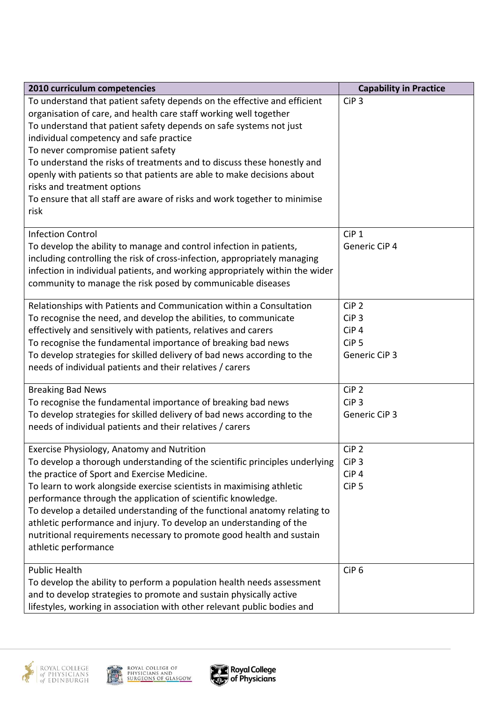| 2010 curriculum competencies                                                 | <b>Capability in Practice</b> |
|------------------------------------------------------------------------------|-------------------------------|
| To understand that patient safety depends on the effective and efficient     | CiP <sub>3</sub>              |
| organisation of care, and health care staff working well together            |                               |
| To understand that patient safety depends on safe systems not just           |                               |
| individual competency and safe practice                                      |                               |
| To never compromise patient safety                                           |                               |
| To understand the risks of treatments and to discuss these honestly and      |                               |
| openly with patients so that patients are able to make decisions about       |                               |
| risks and treatment options                                                  |                               |
| To ensure that all staff are aware of risks and work together to minimise    |                               |
| risk                                                                         |                               |
| <b>Infection Control</b>                                                     | CiP <sub>1</sub>              |
| To develop the ability to manage and control infection in patients,          | Generic CiP 4                 |
| including controlling the risk of cross-infection, appropriately managing    |                               |
| infection in individual patients, and working appropriately within the wider |                               |
| community to manage the risk posed by communicable diseases                  |                               |
| Relationships with Patients and Communication within a Consultation          | CiP <sub>2</sub>              |
| To recognise the need, and develop the abilities, to communicate             | CiP <sub>3</sub>              |
| effectively and sensitively with patients, relatives and carers              | CiP <sub>4</sub>              |
| To recognise the fundamental importance of breaking bad news                 | CiP <sub>5</sub>              |
| To develop strategies for skilled delivery of bad news according to the      | Generic CiP 3                 |
| needs of individual patients and their relatives / carers                    |                               |
| <b>Breaking Bad News</b>                                                     | CiP <sub>2</sub>              |
| To recognise the fundamental importance of breaking bad news                 | CiP <sub>3</sub>              |
| To develop strategies for skilled delivery of bad news according to the      | Generic CiP 3                 |
| needs of individual patients and their relatives / carers                    |                               |
|                                                                              |                               |
| Exercise Physiology, Anatomy and Nutrition                                   | CiP <sub>2</sub>              |
| To develop a thorough understanding of the scientific principles underlying  | CiP <sub>3</sub>              |
| the practice of Sport and Exercise Medicine.                                 | CiP <sub>4</sub>              |
| To learn to work alongside exercise scientists in maximising athletic        | CiP <sub>5</sub>              |
| performance through the application of scientific knowledge.                 |                               |
| To develop a detailed understanding of the functional anatomy relating to    |                               |
| athletic performance and injury. To develop an understanding of the          |                               |
| nutritional requirements necessary to promote good health and sustain        |                               |
| athletic performance                                                         |                               |
| <b>Public Health</b>                                                         | CiP <sub>6</sub>              |
| To develop the ability to perform a population health needs assessment       |                               |
| and to develop strategies to promote and sustain physically active           |                               |
| lifestyles, working in association with other relevant public bodies and     |                               |



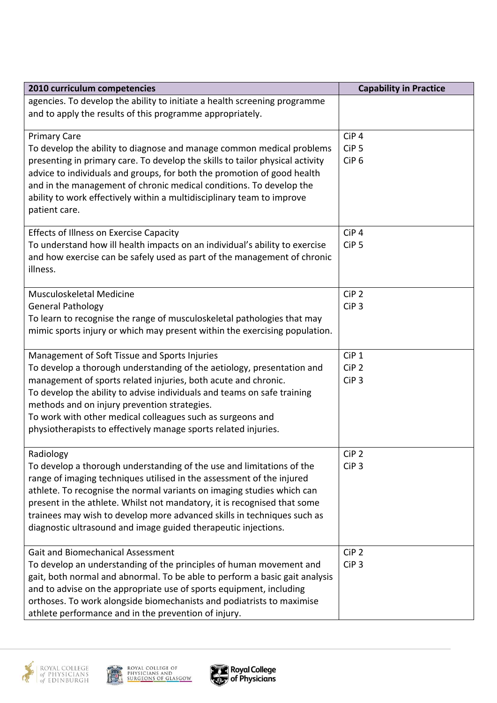| 2010 curriculum competencies                                                                                                                           | <b>Capability in Practice</b>        |
|--------------------------------------------------------------------------------------------------------------------------------------------------------|--------------------------------------|
| agencies. To develop the ability to initiate a health screening programme                                                                              |                                      |
| and to apply the results of this programme appropriately.                                                                                              |                                      |
|                                                                                                                                                        |                                      |
| <b>Primary Care</b>                                                                                                                                    | CiP <sub>4</sub><br>CiP <sub>5</sub> |
| To develop the ability to diagnose and manage common medical problems<br>presenting in primary care. To develop the skills to tailor physical activity | CiP <sub>6</sub>                     |
| advice to individuals and groups, for both the promotion of good health                                                                                |                                      |
| and in the management of chronic medical conditions. To develop the                                                                                    |                                      |
| ability to work effectively within a multidisciplinary team to improve                                                                                 |                                      |
| patient care.                                                                                                                                          |                                      |
|                                                                                                                                                        |                                      |
| <b>Effects of Illness on Exercise Capacity</b>                                                                                                         | CiP <sub>4</sub>                     |
| To understand how ill health impacts on an individual's ability to exercise                                                                            | CiP <sub>5</sub>                     |
| and how exercise can be safely used as part of the management of chronic                                                                               |                                      |
| illness.                                                                                                                                               |                                      |
| Musculoskeletal Medicine                                                                                                                               | CiP <sub>2</sub>                     |
| <b>General Pathology</b>                                                                                                                               | CiP <sub>3</sub>                     |
| To learn to recognise the range of musculoskeletal pathologies that may                                                                                |                                      |
| mimic sports injury or which may present within the exercising population.                                                                             |                                      |
|                                                                                                                                                        |                                      |
| Management of Soft Tissue and Sports Injuries                                                                                                          | CiP <sub>1</sub>                     |
| To develop a thorough understanding of the aetiology, presentation and                                                                                 | CiP <sub>2</sub>                     |
| management of sports related injuries, both acute and chronic.                                                                                         | CiP <sub>3</sub>                     |
| To develop the ability to advise individuals and teams on safe training                                                                                |                                      |
| methods and on injury prevention strategies.                                                                                                           |                                      |
| To work with other medical colleagues such as surgeons and                                                                                             |                                      |
| physiotherapists to effectively manage sports related injuries.                                                                                        |                                      |
| Radiology                                                                                                                                              | CiP <sub>2</sub>                     |
| To develop a thorough understanding of the use and limitations of the                                                                                  | CiP <sub>3</sub>                     |
| range of imaging techniques utilised in the assessment of the injured                                                                                  |                                      |
| athlete. To recognise the normal variants on imaging studies which can                                                                                 |                                      |
| present in the athlete. Whilst not mandatory, it is recognised that some                                                                               |                                      |
| trainees may wish to develop more advanced skills in techniques such as                                                                                |                                      |
| diagnostic ultrasound and image guided therapeutic injections.                                                                                         |                                      |
|                                                                                                                                                        |                                      |
| <b>Gait and Biomechanical Assessment</b>                                                                                                               | CiP <sub>2</sub>                     |
| To develop an understanding of the principles of human movement and                                                                                    | CiP <sub>3</sub>                     |
| gait, both normal and abnormal. To be able to perform a basic gait analysis                                                                            |                                      |
| and to advise on the appropriate use of sports equipment, including                                                                                    |                                      |
| orthoses. To work alongside biomechanists and podiatrists to maximise<br>athlete performance and in the prevention of injury.                          |                                      |
|                                                                                                                                                        |                                      |





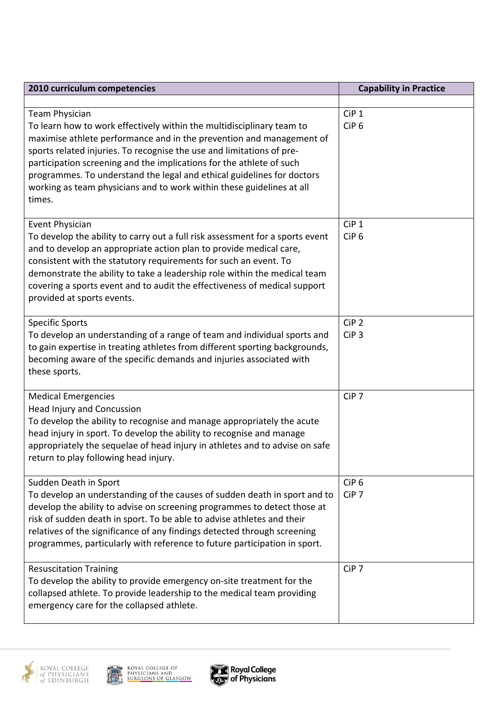| 2010 curriculum competencies                                                                                                                                                                                                                                                                                                                                                                                                                                                         | <b>Capability in Practice</b>        |
|--------------------------------------------------------------------------------------------------------------------------------------------------------------------------------------------------------------------------------------------------------------------------------------------------------------------------------------------------------------------------------------------------------------------------------------------------------------------------------------|--------------------------------------|
|                                                                                                                                                                                                                                                                                                                                                                                                                                                                                      |                                      |
| <b>Team Physician</b><br>To learn how to work effectively within the multidisciplinary team to<br>maximise athlete performance and in the prevention and management of<br>sports related injuries. To recognise the use and limitations of pre-<br>participation screening and the implications for the athlete of such<br>programmes. To understand the legal and ethical guidelines for doctors<br>working as team physicians and to work within these guidelines at all<br>times. | CiP <sub>1</sub><br>CiP <sub>6</sub> |
| <b>Event Physician</b><br>To develop the ability to carry out a full risk assessment for a sports event<br>and to develop an appropriate action plan to provide medical care,<br>consistent with the statutory requirements for such an event. To<br>demonstrate the ability to take a leadership role within the medical team<br>covering a sports event and to audit the effectiveness of medical support<br>provided at sports events.                                            | CiP <sub>1</sub><br>CiP <sub>6</sub> |
| <b>Specific Sports</b><br>To develop an understanding of a range of team and individual sports and<br>to gain expertise in treating athletes from different sporting backgrounds,<br>becoming aware of the specific demands and injuries associated with<br>these sports.                                                                                                                                                                                                            | CiP <sub>2</sub><br>CiP <sub>3</sub> |
| <b>Medical Emergencies</b><br><b>Head Injury and Concussion</b><br>To develop the ability to recognise and manage appropriately the acute<br>head injury in sport. To develop the ability to recognise and manage<br>appropriately the sequelae of head injury in athletes and to advise on safe<br>return to play following head injury.                                                                                                                                            | CiP <sub>7</sub>                     |
| Sudden Death in Sport<br>To develop an understanding of the causes of sudden death in sport and to<br>develop the ability to advise on screening programmes to detect those at<br>risk of sudden death in sport. To be able to advise athletes and their<br>relatives of the significance of any findings detected through screening<br>programmes, particularly with reference to future participation in sport.                                                                    | CiP <sub>6</sub><br>CiP <sub>7</sub> |
| <b>Resuscitation Training</b><br>To develop the ability to provide emergency on-site treatment for the<br>collapsed athlete. To provide leadership to the medical team providing<br>emergency care for the collapsed athlete.                                                                                                                                                                                                                                                        | CiP <sub>7</sub>                     |





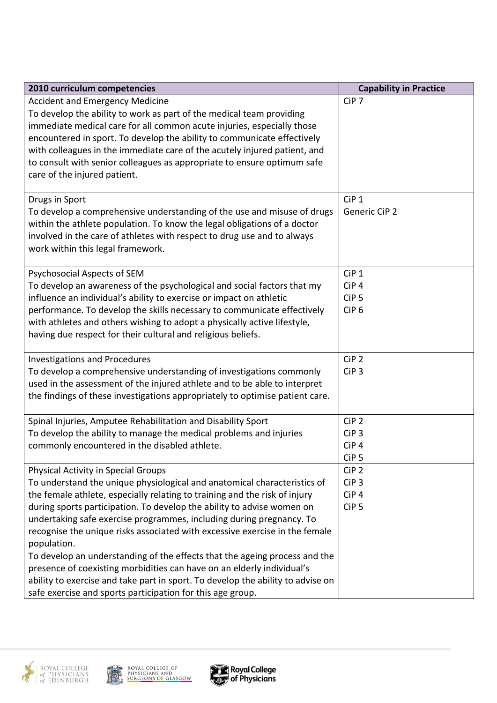| 2010 curriculum competencies                                                                                                                         | <b>Capability in Practice</b> |
|------------------------------------------------------------------------------------------------------------------------------------------------------|-------------------------------|
| <b>Accident and Emergency Medicine</b>                                                                                                               | CiP <sub>7</sub>              |
| To develop the ability to work as part of the medical team providing                                                                                 |                               |
| immediate medical care for all common acute injuries, especially those                                                                               |                               |
| encountered in sport. To develop the ability to communicate effectively                                                                              |                               |
| with colleagues in the immediate care of the acutely injured patient, and                                                                            |                               |
| to consult with senior colleagues as appropriate to ensure optimum safe                                                                              |                               |
| care of the injured patient.                                                                                                                         |                               |
| Drugs in Sport                                                                                                                                       | CiP <sub>1</sub>              |
| To develop a comprehensive understanding of the use and misuse of drugs                                                                              | <b>Generic CiP 2</b>          |
| within the athlete population. To know the legal obligations of a doctor                                                                             |                               |
| involved in the care of athletes with respect to drug use and to always                                                                              |                               |
| work within this legal framework.                                                                                                                    |                               |
|                                                                                                                                                      |                               |
| Psychosocial Aspects of SEM                                                                                                                          | CiP <sub>1</sub>              |
| To develop an awareness of the psychological and social factors that my                                                                              | CiP <sub>4</sub>              |
| influence an individual's ability to exercise or impact on athletic                                                                                  | CiP <sub>5</sub>              |
| performance. To develop the skills necessary to communicate effectively                                                                              | CiP <sub>6</sub>              |
| with athletes and others wishing to adopt a physically active lifestyle,                                                                             |                               |
| having due respect for their cultural and religious beliefs.                                                                                         |                               |
| <b>Investigations and Procedures</b>                                                                                                                 | CiP <sub>2</sub>              |
| To develop a comprehensive understanding of investigations commonly                                                                                  | CiP <sub>3</sub>              |
| used in the assessment of the injured athlete and to be able to interpret                                                                            |                               |
| the findings of these investigations appropriately to optimise patient care.                                                                         |                               |
|                                                                                                                                                      |                               |
| Spinal Injuries, Amputee Rehabilitation and Disability Sport                                                                                         | CiP <sub>2</sub>              |
| To develop the ability to manage the medical problems and injuries                                                                                   | CiP <sub>3</sub>              |
| commonly encountered in the disabled athlete.                                                                                                        | CiP <sub>4</sub>              |
|                                                                                                                                                      | CiP <sub>5</sub>              |
| Physical Activity in Special Groups                                                                                                                  | CiP <sub>2</sub>              |
| To understand the unique physiological and anatomical characteristics of                                                                             | CiP <sub>3</sub>              |
| the female athlete, especially relating to training and the risk of injury                                                                           | CiP <sub>4</sub>              |
| during sports participation. To develop the ability to advise women on                                                                               | CiP <sub>5</sub>              |
| undertaking safe exercise programmes, including during pregnancy. To                                                                                 |                               |
| recognise the unique risks associated with excessive exercise in the female                                                                          |                               |
| population.                                                                                                                                          |                               |
| To develop an understanding of the effects that the ageing process and the<br>presence of coexisting morbidities can have on an elderly individual's |                               |
| ability to exercise and take part in sport. To develop the ability to advise on                                                                      |                               |
| safe exercise and sports participation for this age group.                                                                                           |                               |
|                                                                                                                                                      |                               |